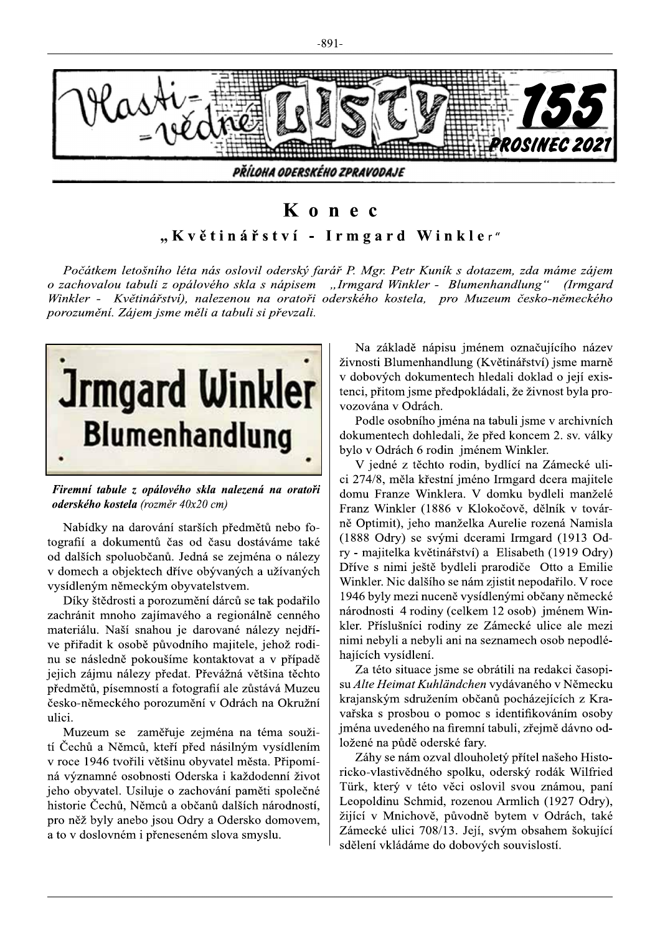

## Konec

## "Květinářství - Irmgard Winkler"

Počátkem letošního léta nás oslovil oderský farář P. Mgr. Petr Kuník s dotazem, zda máme zájem o zachovalou tabuli z opálového skla s nápisem "Irmgard Winkler - Blumenhandlung" (Irmgard Winkler - Květinářství), nalezenou na oratoři oderského kostela, pro Muzeum česko-německého porozumění. Zájem jsme měli a tabuli si převzali.



Firemní tabule z opálového skla nalezená na oratoři oderského kostela (rozměr 40x20 cm)

Nabídky na darování starších předmětů nebo fotografií a dokumentů čas od času dostáváme také od dalších spoluobčanů. Jedná se zejména o nálezy v domech a objektech dříve obývaných a užívaných vysídleným německým obyvatelstvem.

Díky štědrosti a porozumění dárců se tak podařilo zachránit mnoho zajímavého a regionálně cenného materiálu. Naší snahou je darované nálezy nejdříve přiřadit k osobě původního majitele, jehož rodinu se následně pokoušíme kontaktovat a v případě jejich zájmu nálezy předat. Převážná většina těchto předmětů, písemností a fotografií ale zůstává Muzeu česko-německého porozumění v Odrách na Okružní ulici.

Muzeum se zaměřuje zejména na téma soužití Čechů a Němců, kteří před násilným vysídlením v roce 1946 tvořili většinu obyvatel města. Připomíná významné osobnosti Oderska i každodenní život jeho obyvatel. Usiluje o zachování paměti společné historie Čechů, Němců a občanů dalších národností, pro něž byly anebo jsou Odry a Odersko domovem, a to v doslovném i přeneseném slova smyslu.

Na základě nápisu jménem označujícího název živnosti Blumenhandlung (Květinářství) jsme marně v dobových dokumentech hledali doklad o její existenci, přitom jsme předpokládali, že živnost byla provozována v Odrách.

Podle osobního jména na tabuli jsme v archivních dokumentech dohledali, že před koncem 2. sv. války bylo v Odrách 6 rodin jménem Winkler.

V jedné z těchto rodin, bydlící na Zámecké ulici 274/8, měla křestní jméno Irmgard dcera majitele domu Franze Winklera. V domku bydleli manželé Franz Winkler (1886 v Klokočově, dělník v továrně Optimit), jeho manželka Aurelie rozená Namisla (1888 Odry) se svými dcerami Irmgard (1913 Odry - majitelka květinářství) a Elisabeth (1919 Odry) Dříve s nimi ještě bydleli prarodiče Otto a Emilie Winkler. Nic dalšího se nám zjistit nepodařilo. V roce 1946 byly mezi nuceně vysídlenými občany německé národnosti 4 rodiny (celkem 12 osob) jménem Winkler. Příslušníci rodiny ze Zámecké ulice ale mezi nimi nebyli a nebyli ani na seznamech osob nepodléhajících vysídlení.

Za této situace jsme se obrátili na redakci časopisu Alte Heimat Kuhländchen vydávaného v Německu krajanským sdružením občanů pocházejících z Kravařska s prosbou o pomoc s identifikováním osoby jména uvedeného na firemní tabuli, zřejmě dávno odložené na půdě oderské fary.

Záhy se nám ozval dlouholetý přítel našeho Historicko-vlastivědného spolku, oderský rodák Wilfried Türk, který v této věci oslovil svou známou, paní Leopoldinu Schmid, rozenou Armlich (1927 Odry), žijící v Mnichově, původně bytem v Odrách, také Zámecké ulici 708/13. Její, svým obsahem šokující sdělení vkládáme do dobových souvislostí.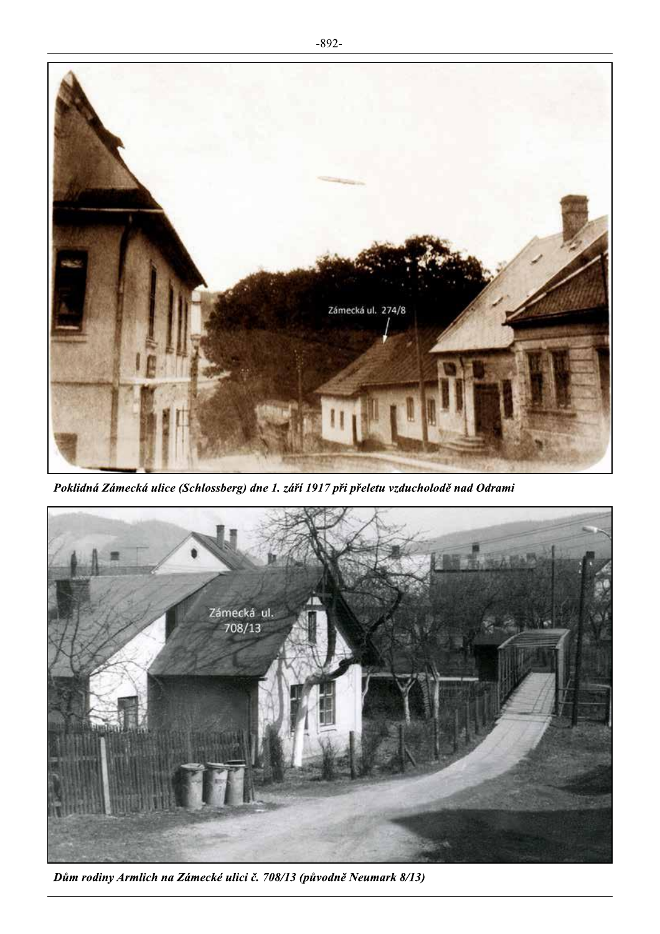

Poklidná Zámecká ulice (Schlossberg) dne 1. září 1917 při přeletu vzducholodě nad Odrami



Dům rodiny Armlich na Zámecké ulici č. 708/13 (původně Neumark 8/13)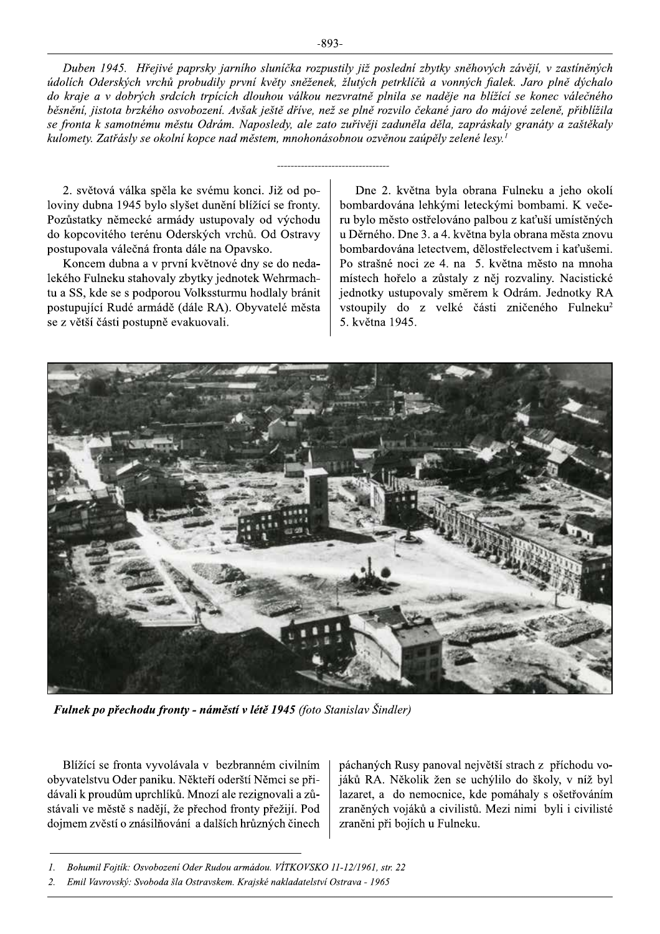Duben 1945. Hřejivé paprsky jarního sluníčka rozpustily již poslední zbytky sněhových závějí, v zastíněných údolích Oderských vrchů probudily první květy sněženek, žlutých petrklíčů a vonných fialek. Jaro plně dýchalo do kraje a v dobrých srdcích trpících dlouhou válkou nezvratně plnila se naděje na blížící se konec válečného běsnění, jistota brzkého osvobození. Avšak ještě dříve, než se plně rozvilo čekané jaro do májové zeleně, přiblížila se fronta k samotnému městu Odrám. Naposledy, ale zato zuřivěji zaduněla děla, zapráskaly granáty a zaštěkaly kulomety. Zatřásly se okolní kopce nad městem, mnohonásobnou ozvěnou zaúpěly zelené lesy.<sup>1</sup>

2. světová válka spěla ke svému konci. Již od poloviny dubna 1945 bylo slyšet dunění blížící se fronty. Pozůstatky německé armády ustupovaly od východu do kopcovitého terénu Oderských vrchů. Od Ostravy postupovala válečná fronta dále na Opavsko.

Koncem dubna a v první květnové dny se do nedalekého Fulneku stahovaly zbytky jednotek Wehrmachtu a SS, kde se s podporou Volkssturmu hodlaly bránit postupující Rudé armádě (dále RA). Obyvatelé města se z větší části postupně evakuovali.

Dne 2. května byla obrana Fulneku a jeho okolí bombardována lehkými leteckými bombami. K večeru bylo město ostřelováno palbou z kaťuší umístěných u Děrného. Dne 3. a 4. května byla obrana města znovu bombardována letectvem, dělostřelectvem i kaťušemi. Po strašné noci ze 4. na 5. května město na mnoha místech hořelo a zůstaly z něj rozvaliny. Nacistické jednotky ustupovaly směrem k Odrám. Jednotky RA vstoupily do z velké části zničeného Fulneku<sup>2</sup> 5. května 1945.



Fulnek po přechodu fronty - náměstí v létě 1945 (foto Stanislav Šindler)

Blížící se fronta vyvolávala v bezbranném civilním obyvatelstvu Oder paniku. Někteří oderští Němci se přidávali k proudům uprchlíků. Mnozí ale rezignovali a zůstávali ve městě s nadějí, že přechod fronty přežijí. Pod dojmem zvěstí o znásilňování a dalších hrůzných činech páchaných Rusy panoval největší strach z příchodu vojáků RA. Několik žen se uchýlilo do školy, v níž byl lazaret, a do nemocnice, kde pomáhaly s ošetřováním zraněných vojáků a civilistů. Mezi nimi byli i civilisté zraněni při bojích u Fulneku.

Bohumil Fojtík: Osvobození Oder Rudou armádou. VÍTKOVSKO 11-12/1961, str. 22  $\mathcal{I}$ .

Emil Vavrovský: Svoboda šla Ostravskem. Krajské nakladatelství Ostrava - 1965  $\overline{2}$ .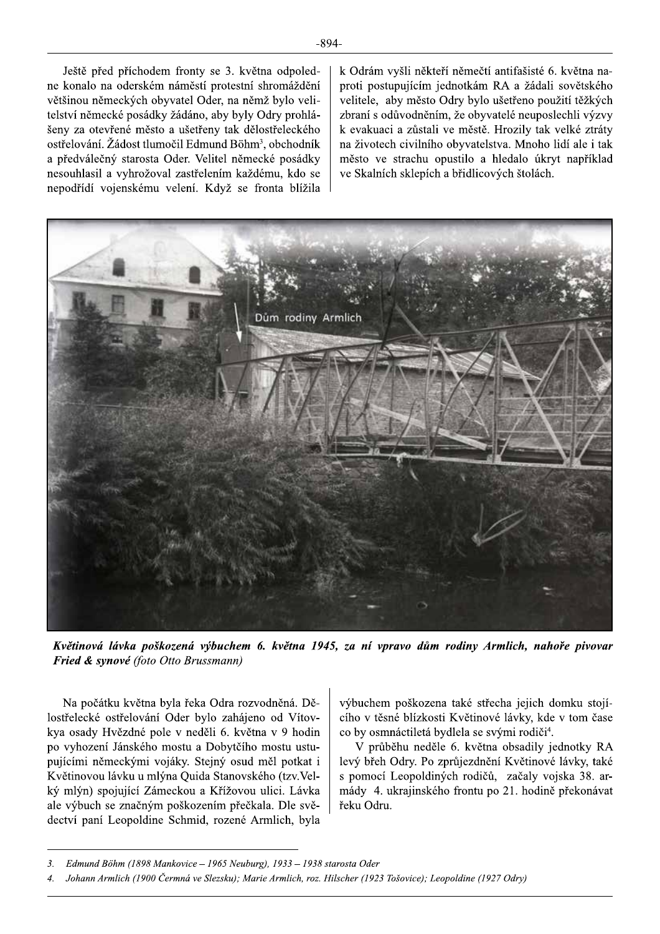Ještě před příchodem fronty se 3. května odpoledne konalo na oderském náměstí protestní shromáždění většinou německých obyvatel Oder, na němž bylo velitelství německé posádky žádáno, aby byly Odry prohlášeny za otevřené město a ušetřeny tak dělostřeleckého ostřelování. Žádost tlumočil Edmund Böhm<sup>3</sup>, obchodník a předválečný starosta Oder. Velitel německé posádky nesouhlasil a vyhrožoval zastřelením každému, kdo se nepodřídí vojenskému velení. Když se fronta blížila k Odrám vyšli někteří němečtí antifašisté 6. května naproti postupujícím jednotkám RA a žádali sovětského velitele, aby město Odry bylo ušetřeno použití těžkých zbraní s odůvodněním, že obyvatelé neuposlechli výzvy k evakuaci a zůstali ve městě. Hrozily tak velké ztráty na životech civilního obyvatelstva. Mnoho lidí ale i tak město ve strachu opustilo a hledalo úkryt například ve Skalních sklepích a břidlicových štolách.



Květinová lávka poškozená výbuchem 6. května 1945, za ní vpravo dům rodiny Armlich, nahoře pivovar Fried & synové (foto Otto Brussmann)

Na počátku května byla řeka Odra rozvodněná. Dělostřelecké ostřelování Oder bylo zahájeno od Vítovkya osady Hvězdné pole v neděli 6. května v 9 hodin po vyhození Jánského mostu a Dobytčího mostu ustupujícími německými vojáky. Stejný osud měl potkat i Květinovou lávku u mlýna Quida Stanovského (tzv. Velký mlýn) spojující Zámeckou a Křížovou ulici. Lávka ale výbuch se značným poškozením přečkala. Dle svědectví paní Leopoldine Schmid, rozené Armlich, byla

výbuchem poškozena také střecha jejich domku stojícího v těsné blízkosti Květinové lávky, kde v tom čase co by osmnáctiletá bydlela se svými rodiči<sup>4</sup>.

V průběhu neděle 6. května obsadily jednotky RA levý břeh Odry. Po zprůjezdnění Květinové lávky, také s pomocí Leopoldiných rodičů, začaly vojska 38. armády 4. ukrajinského frontu po 21. hodině překonávat řeku Odru.

 $\overline{3}$ . Edmund Böhm (1898 Mankovice - 1965 Neuburg), 1933 - 1938 starosta Oder

Johann Armlich (1900 Čermná ve Slezsku); Marie Armlich, roz. Hilscher (1923 Tošovice); Leopoldine (1927 Odry)  $\overline{4}$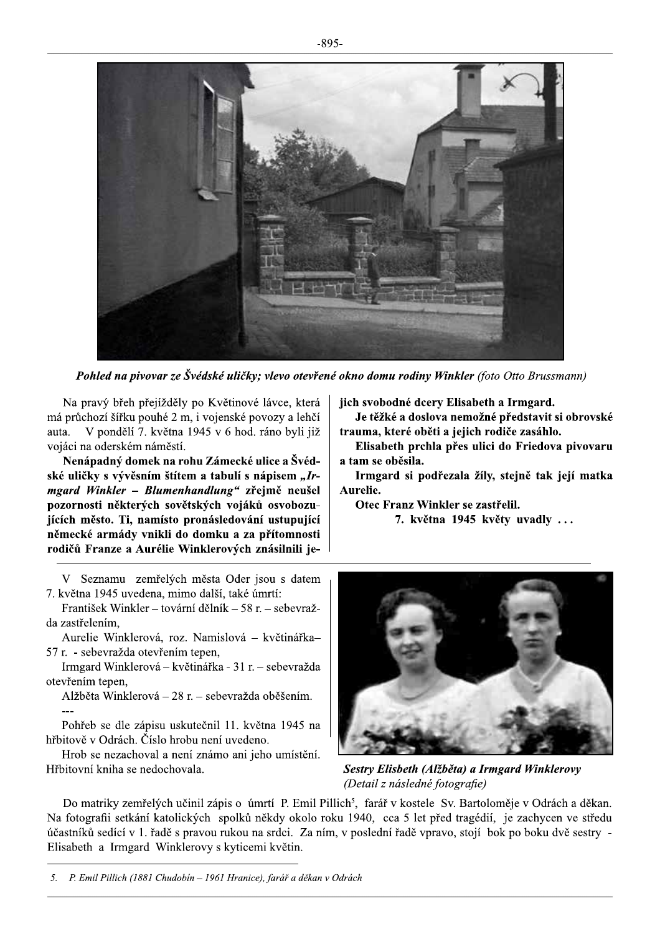

Pohled na pivovar ze Švédské uličky; vlevo otevřené okno domu rodiny Winkler (foto Otto Brussmann)

Na pravý břeh přejížděly po Květinové lávce, která má průchozí šířku pouhé 2 m, i vojenské povozy a lehčí V pondělí 7. května 1945 v 6 hod. ráno byli již auta. vojáci na oderském náměstí.

Nenápadný domek na rohu Zámecké ulice a Švédské uličky s vývěsním štítem a tabulí s nápisem "Irmgard Winkler - Blumenhandlung" zřejmě neušel pozornosti některých sovětských vojáků osvobozuiících město. Ti, namísto pronásledování ustupující německé armády vnikli do domku a za přítomnosti rodičů Franze a Aurélie Winklerových znásilnili je-

V Seznamu zemřelých města Oder jsou s datem 7. května 1945 uvedena, mimo další, také úmrtí:

František Winkler – tovární dělník – 58 r. – sebevražda zastřelením.

Aurelie Winklerová, roz. Namislová – květinářka– 57 r. - sebevražda otevřením tepen,

Irmgard Winklerová – květinářka - 31 r. – sebevražda otevřením tepen,

Alžběta Winklerová – 28 r. – sebevražda oběšením.

Pohřeb se dle zápisu uskutečnil 11. května 1945 na hřbitově v Odrách. Číslo hrobu není uvedeno.

Hrob se nezachoval a není známo ani jeho umístění. Hřbitovní kniha se nedochovala.

jich svobodné dcery Elisabeth a Irmgard.

Je těžké a doslova nemožné představit si obrovské trauma, které oběti a jejich rodiče zasáhlo.

Elisabeth prchla přes ulici do Friedova pivovaru a tam se oběsila.

Irmgard si podřezala žíly, stejně tak její matka Aurelie.

Otec Franz Winkler se zastřelil.

7. května 1945 květy uvadly ...



Sestry Elisbeth (Alžběta) a Irmgard Winklerovy (Detail z následné fotografie)

Do matriky zemřelých učinil zápis o úmrtí P. Emil Pillich<sup>5</sup>, farář v kostele Sv. Bartoloměje v Odrách a děkan. Na fotografii setkání katolických spolků někdy okolo roku 1940, cca 5 let před tragédií, je zachycen ve středu účastníků sedící v 1. řadě s pravou rukou na srdci. Za ním, v poslední řadě vpravo, stojí bok po boku dvě sestry -Elisabeth a Irmgard Winklerovy s kyticemi květin.

5. P. Emil Pillich (1881 Chudobín - 1961 Hranice), farář a děkan v Odrách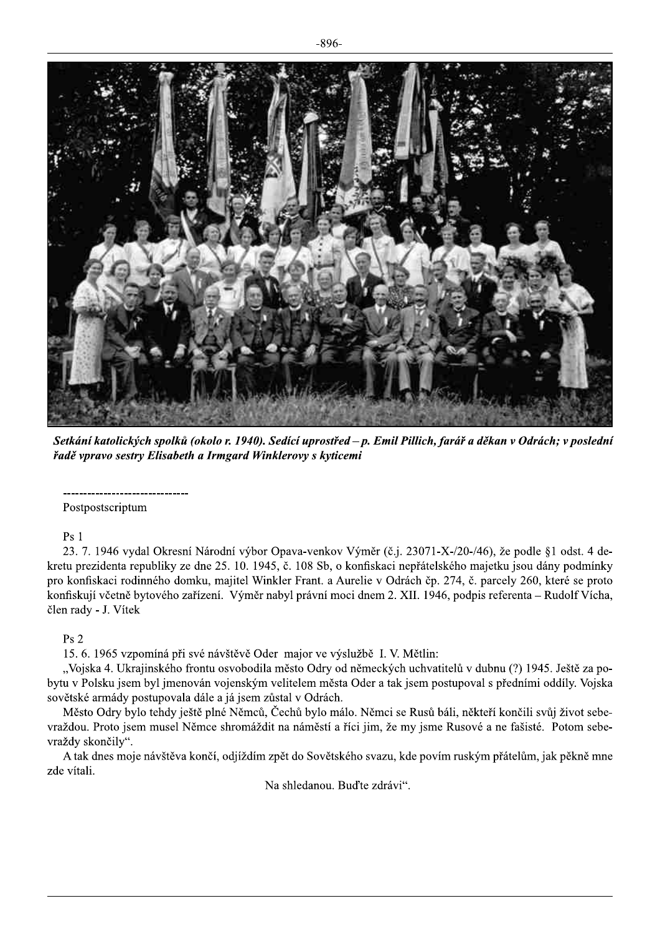

Setkání katolických spolků (okolo r. 1940). Sedící uprostřed – p. Emil Pillich, farář a děkan v Odrách; v poslední řadě vpravo sestry Elisabeth a Irmgard Winklerovy s kyticemi

Postpostscriptum

 $Ps<sub>1</sub>$ 

23. 7. 1946 vydal Okresní Národní výbor Opava-venkov Výměr (č.j. 23071-X-/20-/46), že podle §1 odst. 4 dekretu prezidenta republiky ze dne 25. 10. 1945, č. 108 Sb, o konfiskaci nepřátelského majetku jsou dány podmínky pro konfiskaci rodinného domku, majitel Winkler Frant. a Aurelie v Odrách čp. 274, č. parcely 260, které se proto konfiskují včetně bytového zařízení. Výměr nabyl právní moci dnem 2. XII. 1946, podpis referenta – Rudolf Vícha, člen rady - J. Vítek

## $Ps2$

15. 6. 1965 vzpomíná při své návštěvě Oder major ve výslužbě I. V. Mětlin:

"Vojska 4. Ukrajinského frontu osvobodila město Odry od německých uchvatitelů v dubnu (?) 1945. Ještě za pobytu v Polsku jsem byl jmenován vojenským velitelem města Oder a tak jsem postupoval s předními oddíly. Vojska sovětské armády postupovala dále a já jsem zůstal v Odrách.

Město Odry bylo tehdy ještě plné Němců, Čechů bylo málo. Němci se Rusů báli, někteří končili svůj život sebevraždou. Proto jsem musel Němce shromáždit na náměstí a říci jim, že my jsme Rusové a ne fašisté. Potom sebevraždy skončily".

A tak dnes moje návštěva končí, odjíždím zpět do Sovětského svazu, kde povím ruským přátelům, jak pěkně mne zde vítali.

Na shledanou. Buďte zdrávi".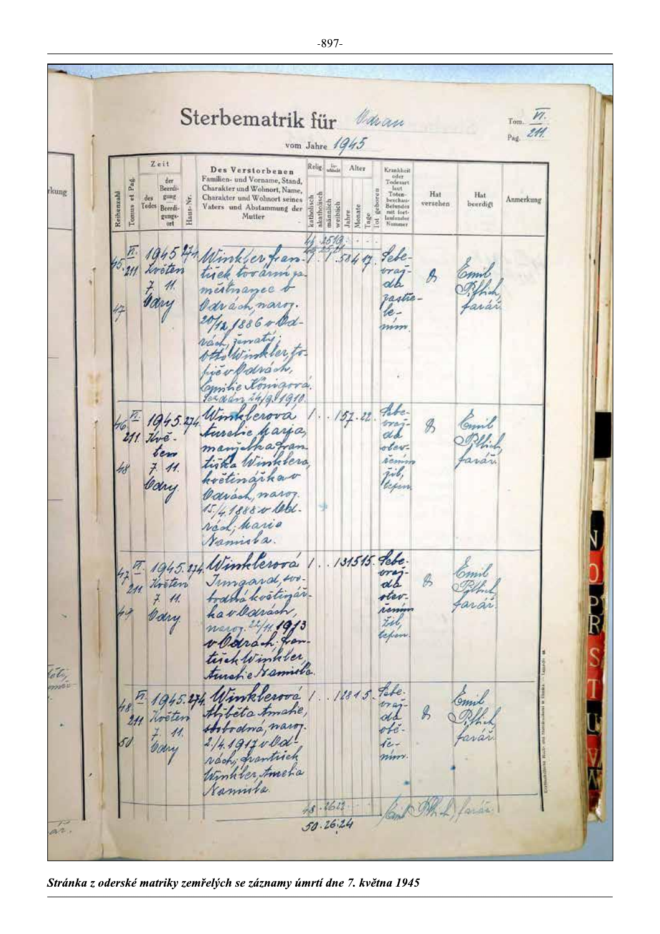Sterbematrik für Van  $M.$  $T<sub>om</sub>$ . Pag. 211. vom Jahre  $1945$ Zeit  $\begin{array}{l} \textbf{Krankheit} \\ \textbf{oderart} \\ \textbf{Ioderart} \\ \textbf{Ioten} \\ \textbf{Ioten} \\ \textbf{Betundes} \\ \textbf{mitt forti} \\ \textbf{intender} \\ \textbf{Nummer} \end{array}$ Religion Alter Des Verstorbenen Familien- und Vorname, Stand,<br>Charakter und Wohnort, Name,  $\begin{array}{c} \text{der} \\ \text{Ber} \\ \text{gung} \end{array}$ Tomus et Pag kung geboren Hat Reihenzahl Hat Charakter und Wohnort seines akathoisch  $<sub>dec</sub>$ </sub> katholisch Anmerkung Haus-Nr. Tedes Beerdimännlich versehen beerdigt Vaters und Abstammung der<br>Mutter weiblich Jahre<br>Monate Tage gungs-<br>ort  $\overline{\bf 5}$  $\mathbb{Z}$  $1945$ Lebe Winkler fran 58417  $.211$ oraj<br>ab  $\beta$ Frany !!  $^{\prime\prime}$ mestrane rastie Carson nars lemm 1886 debe- $51.22.$ Winklers 匛 1945.274 Comil tray  $\mathscr{B}$ aria dd  $211$  the APPI.  $\overline{a}$ otevtem arán La Winklera *hem*  $7/11$  $\tilde{z}$ étinarka Cary teper Carson n 4.1888 w 1060 véd; hario Namisla. 131515. Lebe. 17 1945.24 Winklewra ory mint Timaard, wo  $\mathscr{B}$ theten todara kosti íñ otev  $7/11$ aráñ hav Carách Corry til. teps liber tirek le amilla tét. Tabe. 1945.274 Winks  $12815$ erova Comil org ahe,  $\mathscr{G}$ téta Noeter  $211$ maros. ofi. Hobodna  $\overline{\mathcal{U}}$ rvár Com  $1911$ jevoch, frantisch mm. Winhiler timelia Namila  $48.1612$ bide ls,  $50.26.24$ ar.

Stránka z oderské matriky zemřelých se záznamy úmrtí dne 7. května 1945